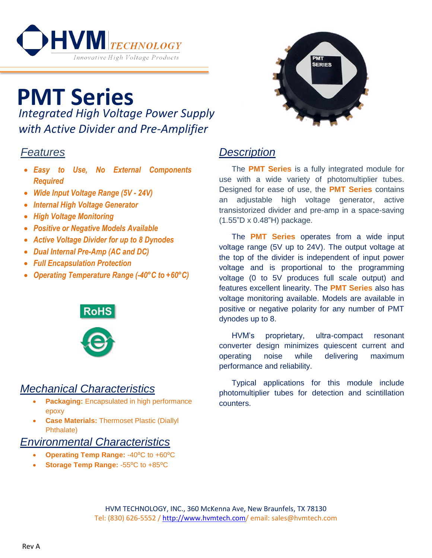

# **PMT Series** *Integrated High Voltage Power Supply with Active Divider and Pre-Amplifier*

## *Features*

- *Easy to Use, No External Components Required*
- *Wide Input Voltage Range (5V - 24V)*
- *Internal High Voltage Generator*
- *High Voltage Monitoring*
- *Positive or Negative Models Available*
- *Active Voltage Divider for up to 8 Dynodes*
- *Dual Internal Pre-Amp (AC and DC)*
- *Full Encapsulation Protection*
- *Operating Temperature Range (-40°C to +60°C)*



### *Mechanical Characteristics*

- **Packaging:** Encapsulated in high performance epoxy
- **Case Materials:** Thermoset Plastic (Diallyl Phthalate)

#### *Environmental Characteristics*

- **Operating Temp Range: -40°C to +60°C**
- **Storage Temp Range: 55<sup>°</sup>C to +85<sup>°</sup>C**



## *Description*

The **PMT Series** is a fully integrated module for use with a wide variety of photomultiplier tubes. Designed for ease of use, the **PMT Series** contains an adjustable high voltage generator, active transistorized divider and pre-amp in a space-saving (1.55"D x 0.48"H) package.

The **PMT Series** operates from a wide input voltage range (5V up to 24V). The output voltage at the top of the divider is independent of input power voltage and is proportional to the programming voltage (0 to 5V produces full scale output) and features excellent linearity. The **PMT Series** also has voltage monitoring available. Models are available in positive or negative polarity for any number of PMT dynodes up to 8.

HVM's proprietary, ultra-compact resonant converter design minimizes quiescent current and operating noise while delivering maximum performance and reliability.

Typical applications for this module include photomultiplier tubes for detection and scintillation counters.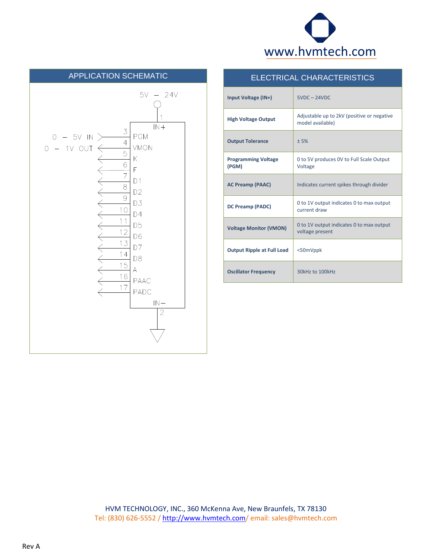



#### ELECTRICAL CHARACTERISTICS

| Input Voltage (IN+)                 | $5VDC - 24VDC$                                                 |
|-------------------------------------|----------------------------------------------------------------|
| <b>High Voltage Output</b>          | Adjustable up to 2kV (positive or negative<br>model available) |
| <b>Output Tolerance</b>             | ±5%                                                            |
| <b>Programming Voltage</b><br>(PGM) | 0 to 5V produces 0V to Full Scale Output<br>Voltage            |
| <b>AC Preamp (PAAC)</b>             | Indicates current spikes through divider                       |
| DC Preamp (PADC)                    | 0 to 1V output indicates 0 to max output<br>current draw       |
| <b>Voltage Monitor (VMON)</b>       | 0 to 1V output indicates 0 to max output<br>voltage present    |
| <b>Output Ripple at Full Load</b>   | <50mVppk                                                       |
| <b>Oscillator Frequency</b>         | 30kHz to 100kHz                                                |

HVM TECHNOLOGY, INC., 360 McKenna Ave, New Braunfels, TX 78130 Tel: (830) 626-5552 / <http://www.hvmtech.com/> email: sales@hvmtech.com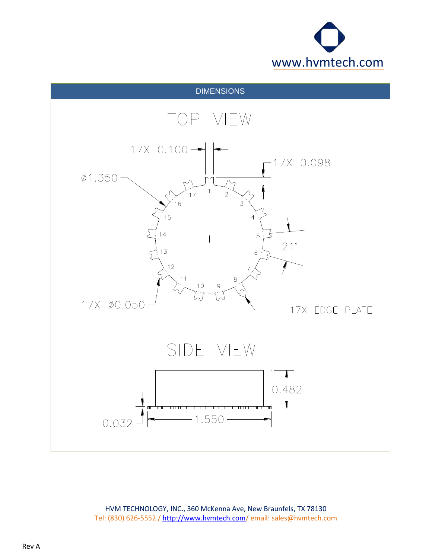



HVM TECHNOLOGY, INC., 360 McKenna Ave, New Braunfels, TX 78130 Tel: (830) 626-5552 / <http://www.hvmtech.com/> email: sales@hvmtech.com